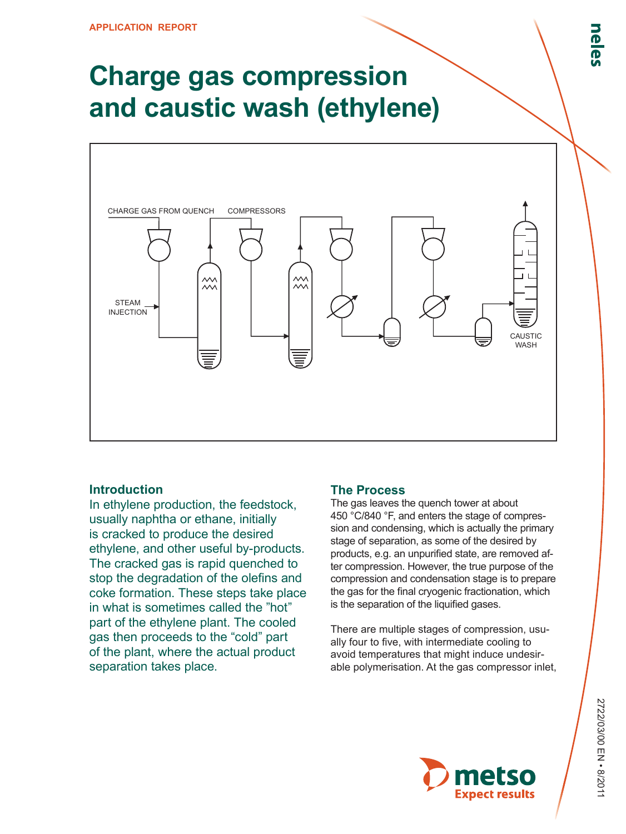# **Charge gas compression and caustic wash (ethylene)**



### **Introduction**

In ethylene production, the feedstock, usually naphtha or ethane, initially is cracked to produce the desired ethylene, and other useful by‑products. The cracked gas is rapid quenched to stop the degradation of the olefins and coke formation. These steps take place in what is sometimes called the "hot" part of the ethylene plant. The cooled gas then proceeds to the "cold" part of the plant, where the actual product separation takes place.

### **The Process**

The gas leaves the quench tower at about 450 °C/840 °F, and enters the stage of compression and condensing, which is actually the primary stage of separation, as some of the desired by products, e.g. an unpurified state, are removed after compression. However, the true purpose of the compression and condensation stage is to prepare the gas for the final cryogenic fractionation, which is the separation of the liquified gases.

There are multiple stages of compression, usually four to five, with intermediate cooling to avoid temperatures that might induce undesirable polymerisation. At the gas compressor inlet,